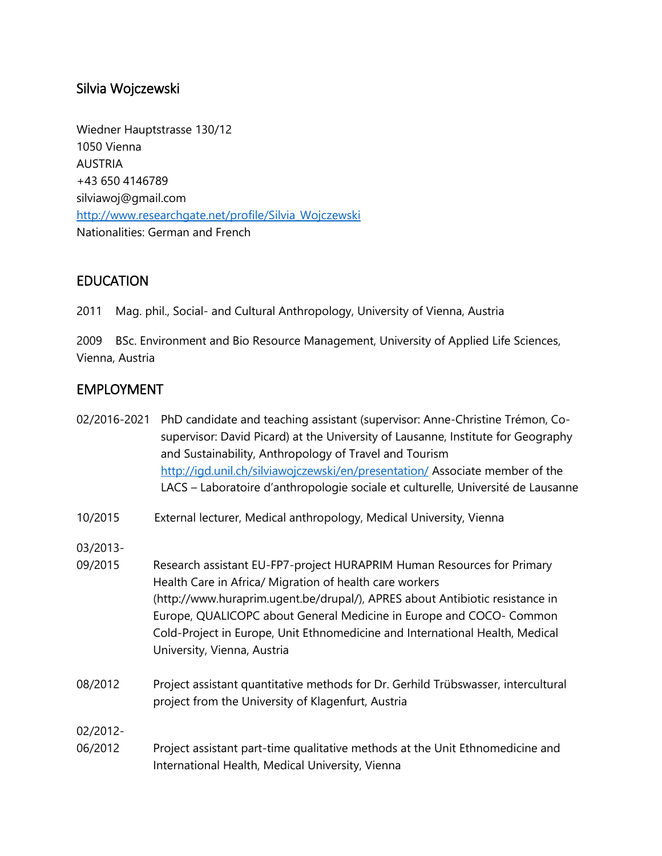## Silvia Wojczewski

Wiedner Hauptstrasse 130/12 1050 Vienna AUSTRIA +43 650 4146789 silviawoj@gmail.com [http://www.researchgate.net/profile/Silvia\\_Wojczewski](http://www.researchgate.net/profile/Silvia_Wojczewski) Nationalities: German and French

## **EDUCATION**

2011 Mag. phil., Social- and Cultural Anthropology, University of Vienna, Austria

2009 BSc. Environment and Bio Resource Management, University of Applied Life Sciences, Vienna, Austria

## EMPLOYMENT

| 02/2016-2021 | PhD candidate and teaching assistant (supervisor: Anne-Christine Trémon, Co-     |
|--------------|----------------------------------------------------------------------------------|
|              | supervisor: David Picard) at the University of Lausanne, Institute for Geography |
|              | and Sustainability, Anthropology of Travel and Tourism                           |
|              | http://igd.unil.ch/silviawojczewski/en/presentation/ Associate member of the     |
|              | LACS – Laboratoire d'anthropologie sociale et culturelle, Université de Lausanne |
|              |                                                                                  |

10/2015 External lecturer, Medical anthropology, Medical University, Vienna

- 03/2013-
- 09/2015 Research assistant EU-FP7-project HURAPRIM Human Resources for Primary Health Care in Africa/ Migration of health care workers (http://www.huraprim.ugent.be/drupal/), APRES about Antibiotic resistance in Europe, QUALICOPC about General Medicine in Europe and COCO- Common Cold-Project in Europe, Unit Ethnomedicine and International Health, Medical University, Vienna, Austria
- 08/2012 Project assistant quantitative methods for Dr. Gerhild Trübswasser, intercultural project from the University of Klagenfurt, Austria

02/2012-

06/2012 Project assistant part-time qualitative methods at the Unit Ethnomedicine and International Health, Medical University, Vienna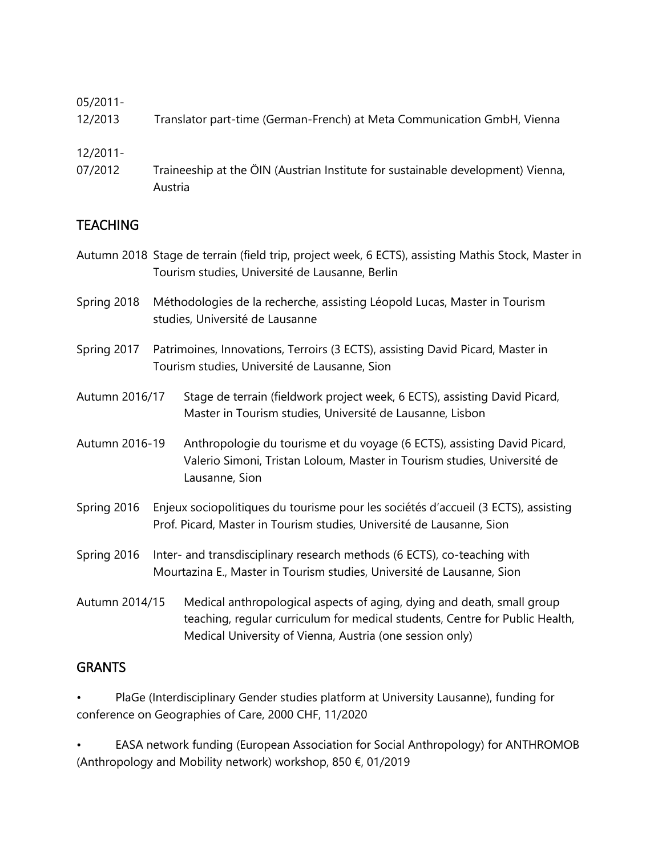### 05/2011-

12/2013 Translator part-time (German-French) at Meta Communication GmbH, Vienna

#### 12/2011-

07/2012 Traineeship at the ÖIN (Austrian Institute for sustainable development) Vienna, Austria

## **TEACHING**

- Autumn 2018 Stage de terrain (field trip, project week, 6 ECTS), assisting Mathis Stock, Master in Tourism studies, Université de Lausanne, Berlin
- Spring 2018 Méthodologies de la recherche, assisting Léopold Lucas, Master in Tourism studies, Université de Lausanne
- Spring 2017 Patrimoines, Innovations, Terroirs (3 ECTS), assisting David Picard, Master in Tourism studies, Université de Lausanne, Sion
- Autumn 2016/17 Stage de terrain (fieldwork project week, 6 ECTS), assisting David Picard, Master in Tourism studies, Université de Lausanne, Lisbon
- Autumn 2016-19 Anthropologie du tourisme et du voyage (6 ECTS), assisting David Picard, Valerio Simoni, Tristan Loloum, Master in Tourism studies, Université de Lausanne, Sion
- Spring 2016 Enjeux sociopolitiques du tourisme pour les sociétés d'accueil (3 ECTS), assisting Prof. Picard, Master in Tourism studies, Université de Lausanne, Sion
- Spring 2016 Inter- and transdisciplinary research methods (6 ECTS), co-teaching with Mourtazina E., Master in Tourism studies, Université de Lausanne, Sion
- Autumn 2014/15 Medical anthropological aspects of aging, dying and death, small group teaching, regular curriculum for medical students, Centre for Public Health, Medical University of Vienna, Austria (one session only)

### GRANTS

PlaGe (Interdisciplinary Gender studies platform at University Lausanne), funding for conference on Geographies of Care, 2000 CHF, 11/2020

• EASA network funding (European Association for Social Anthropology) for ANTHROMOB (Anthropology and Mobility network) workshop, 850  $\epsilon$ , 01/2019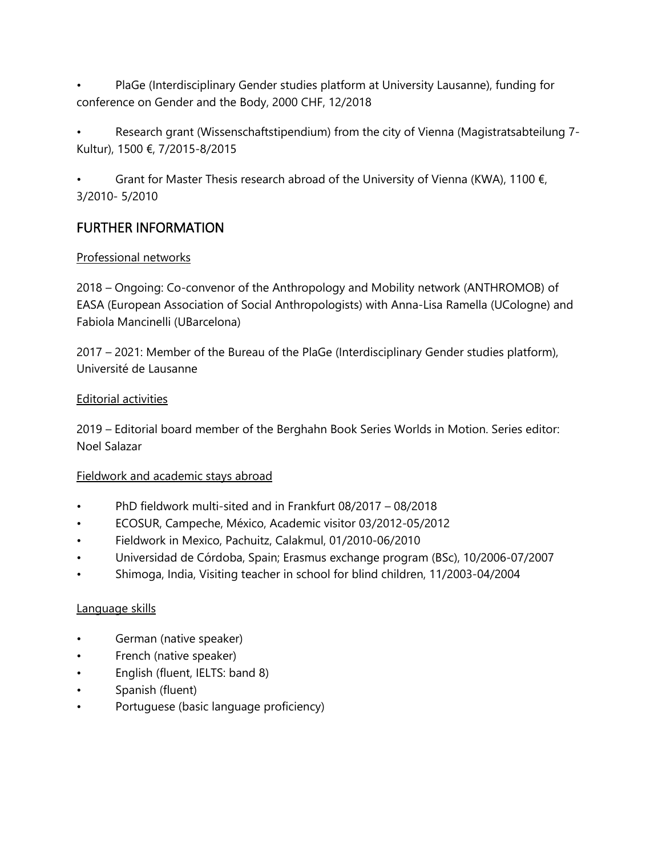- PlaGe (Interdisciplinary Gender studies platform at University Lausanne), funding for conference on Gender and the Body, 2000 CHF, 12/2018
- Research grant (Wissenschaftstipendium) from the city of Vienna (Magistratsabteilung 7- Kultur), 1500 €, 7/2015-8/2015
- Grant for Master Thesis research abroad of the University of Vienna (KWA), 1100  $\epsilon$ , 3/2010- 5/2010

# FURTHER INFORMATION

#### Professional networks

2018 – Ongoing: Co-convenor of the Anthropology and Mobility network (ANTHROMOB) of EASA (European Association of Social Anthropologists) with Anna-Lisa Ramella (UCologne) and Fabiola Mancinelli (UBarcelona)

2017 – 2021: Member of the Bureau of the PlaGe (Interdisciplinary Gender studies platform), Université de Lausanne

#### Editorial activities

2019 – Editorial board member of the Berghahn Book Series Worlds in Motion. Series editor: Noel Salazar

### Fieldwork and academic stays abroad

- PhD fieldwork multi-sited and in Frankfurt 08/2017 08/2018
- ECOSUR, Campeche, México, Academic visitor 03/2012-05/2012
- Fieldwork in Mexico, Pachuitz, Calakmul, 01/2010-06/2010
- Universidad de Córdoba, Spain; Erasmus exchange program (BSc), 10/2006-07/2007
- Shimoga, India, Visiting teacher in school for blind children, 11/2003-04/2004

#### Language skills

- German (native speaker)
- French (native speaker)
- English (fluent, IELTS: band 8)
- Spanish (fluent)
- Portuguese (basic language proficiency)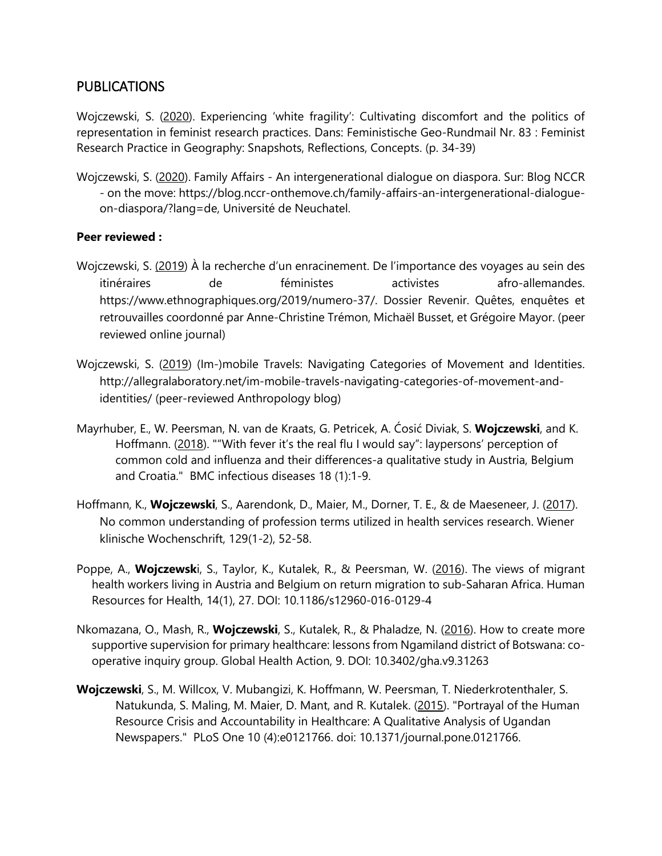### PUBLICATIONS

Wojczewski, S. (2020). Experiencing 'white fragility': Cultivating discomfort and the politics of representation in feminist research practices. Dans: Feministische Geo-Rundmail Nr. 83 : Feminist Research Practice in Geography: Snapshots, Reflections, Concepts. (p. 34-39)

Wojczewski, S. (2020). Family Affairs - An intergenerational dialogue on diaspora. Sur: Blog NCCR - on the move: [https://blog.nccr-onthemove.ch/family-affairs-an-intergenerational-dialogue](https://blog.nccr-onthemove.ch/family-affairs-an-intergenerational-dialogue-on-diaspora/?lang=de)[on-diaspora/?lang=de,](https://blog.nccr-onthemove.ch/family-affairs-an-intergenerational-dialogue-on-diaspora/?lang=de) Université de Neuchatel.

#### **Peer reviewed :**

- Wojczewski, S. (2019) À la recherche d'un enracinement. De l'importance des voyages au sein des itinéraires de féministes activistes afro-allemandes. [https://www.ethnographiques.org/2019/numero-37/.](https://www.ethnographiques.org/2019/numero-37/) Dossier Revenir. Quêtes, enquêtes et retrouvailles coordonné par Anne-Christine Trémon, Michaël Busset, et Grégoire Mayor. (peer reviewed online journal)
- Wojczewski, S. (2019) (Im-)mobile Travels: Navigating Categories of Movement and Identities. [http://allegralaboratory.net/im-mobile-travels-navigating-categories-of-movement-and](http://allegralaboratory.net/im-mobile-travels-navigating-categories-of-movement-and-identities/)[identities/](http://allegralaboratory.net/im-mobile-travels-navigating-categories-of-movement-and-identities/) (peer-reviewed Anthropology blog)
- Mayrhuber, E., W. Peersman, N. van de Kraats, G. Petricek, A. Ćosić Diviak, S. **Wojczewski**, and K. Hoffmann. (2018). ""With fever it's the real flu I would say": laypersons' perception of common cold and influenza and their differences-a qualitative study in Austria, Belgium and Croatia." BMC infectious diseases 18 (1):1-9.
- Hoffmann, K., **Wojczewski**, S., Aarendonk, D., Maier, M., Dorner, T. E., & de Maeseneer, J. (2017). No common understanding of profession terms utilized in health services research. Wiener klinische Wochenschrift, 129(1-2), 52-58.
- Poppe, A., **Wojczewsk**i, S., Taylor, K., Kutalek, R., & Peersman, W. (2016). The views of migrant health workers living in Austria and Belgium on return migration to sub-Saharan Africa. Human Resources for Health, 14(1), 27. DOI: 10.1186/s12960-016-0129-4
- Nkomazana, O., Mash, R., **Wojczewski**, S., Kutalek, R., & Phaladze, N. (2016). How to create more supportive supervision for primary healthcare: lessons from Ngamiland district of Botswana: cooperative inquiry group. Global Health Action, 9. DOI: 10.3402/gha.v9.31263
- **Wojczewski**, S., M. Willcox, V. Mubangizi, K. Hoffmann, W. Peersman, T. Niederkrotenthaler, S. Natukunda, S. Maling, M. Maier, D. Mant, and R. Kutalek. (2015). "Portrayal of the Human Resource Crisis and Accountability in Healthcare: A Qualitative Analysis of Ugandan Newspapers." PLoS One 10 (4):e0121766. doi: 10.1371/journal.pone.0121766.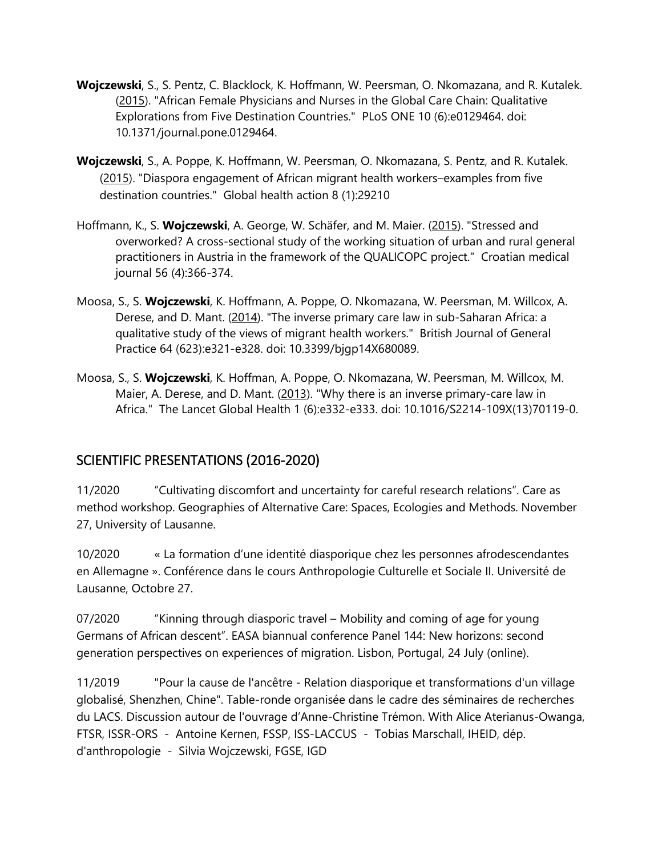- **Wojczewski**, S., S. Pentz, C. Blacklock, K. Hoffmann, W. Peersman, O. Nkomazana, and R. Kutalek. (2015). "African Female Physicians and Nurses in the Global Care Chain: Qualitative Explorations from Five Destination Countries." PLoS ONE 10 (6):e0129464. doi: 10.1371/journal.pone.0129464.
- **Wojczewski**, S., A. Poppe, K. Hoffmann, W. Peersman, O. Nkomazana, S. Pentz, and R. Kutalek. (2015). "Diaspora engagement of African migrant health workers–examples from five destination countries." Global health action 8 (1):29210
- Hoffmann, K., S. **Wojczewski**, A. George, W. Schäfer, and M. Maier. (2015). "Stressed and overworked? A cross-sectional study of the working situation of urban and rural general practitioners in Austria in the framework of the QUALICOPC project." Croatian medical journal 56 (4):366-374.
- Moosa, S., S. **Wojczewski**, K. Hoffmann, A. Poppe, O. Nkomazana, W. Peersman, M. Willcox, A. Derese, and D. Mant. (2014). "The inverse primary care law in sub-Saharan Africa: a qualitative study of the views of migrant health workers." British Journal of General Practice 64 (623):e321-e328. doi: 10.3399/bjgp14X680089.
- Moosa, S., S. **Wojczewski**, K. Hoffman, A. Poppe, O. Nkomazana, W. Peersman, M. Willcox, M. Maier, A. Derese, and D. Mant. (2013). "Why there is an inverse primary-care law in Africa." The Lancet Global Health 1 (6):e332-e333. doi: 10.1016/S2214-109X(13)70119-0.

# SCIENTIFIC PRESENTATIONS (2016-2020)

11/2020 "Cultivating discomfort and uncertainty for careful research relations". Care as method workshop. Geographies of Alternative Care: Spaces, Ecologies and Methods. November 27, University of Lausanne.

10/2020 « La formation d'une identité diasporique chez les personnes afrodescendantes en Allemagne ». Conférence dans le cours Anthropologie Culturelle et Sociale II. Université de Lausanne, Octobre 27.

07/2020 "Kinning through diasporic travel – Mobility and coming of age for young Germans of African descent". EASA biannual conference Panel 144: New horizons: second generation perspectives on experiences of migration. Lisbon, Portugal, 24 July (online).

11/2019 "Pour la cause de l'ancêtre - Relation diasporique et transformations d'un village globalisé, Shenzhen, Chine". Table-ronde organisée dans le cadre des séminaires de recherches du LACS. Discussion autour de l'ouvrage d'Anne-Christine Trémon. With Alice Aterianus-Owanga, FTSR, ISSR-ORS - Antoine Kernen, FSSP, ISS-LACCUS - Tobias Marschall, IHEID, dép. d'anthropologie - Silvia Wojczewski, FGSE, IGD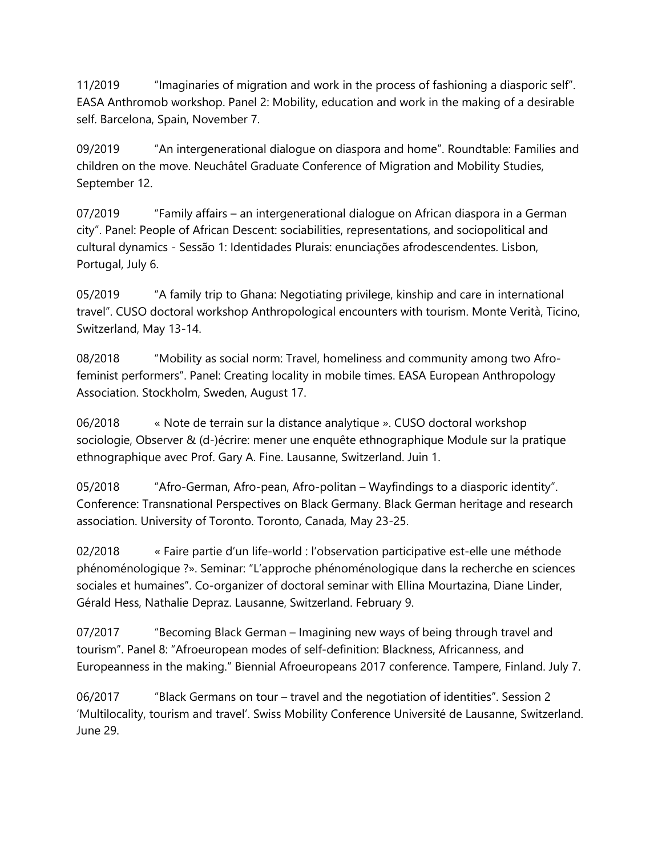11/2019 "Imaginaries of migration and work in the process of fashioning a diasporic self". EASA Anthromob workshop. Panel 2: Mobility, education and work in the making of a desirable self. Barcelona, Spain, November 7.

09/2019 "An intergenerational dialogue on diaspora and home". Roundtable: Families and children on the move. Neuchâtel Graduate Conference of Migration and Mobility Studies, September 12.

07/2019 "Family affairs – an intergenerational dialogue on African diaspora in a German city". Panel: People of African Descent: sociabilities, representations, and sociopolitical and cultural dynamics - Sessão 1: Identidades Plurais: enunciações afrodescendentes. Lisbon, Portugal, July 6.

05/2019 "A family trip to Ghana: Negotiating privilege, kinship and care in international travel". CUSO doctoral workshop Anthropological encounters with tourism. Monte Verità, Ticino, Switzerland, May 13-14.

08/2018 "Mobility as social norm: Travel, homeliness and community among two Afrofeminist performers". Panel: Creating locality in mobile times. EASA European Anthropology Association. Stockholm, Sweden, August 17.

06/2018 « Note de terrain sur la distance analytique ». CUSO doctoral workshop sociologie, Observer & (d-)écrire: mener une enquête ethnographique Module sur la pratique ethnographique avec Prof. Gary A. Fine. Lausanne, Switzerland. Juin 1.

05/2018 "Afro-German, Afro-pean, Afro-politan – Wayfindings to a diasporic identity". Conference: Transnational Perspectives on Black Germany. Black German heritage and research association. University of Toronto. Toronto, Canada, May 23-25.

02/2018 « Faire partie d'un life-world : l'observation participative est-elle une méthode phénoménologique ?». Seminar: "L'approche phénoménologique dans la recherche en sciences sociales et humaines". Co-organizer of doctoral seminar with Ellina Mourtazina, Diane Linder, Gérald Hess, Nathalie Depraz. Lausanne, Switzerland. February 9.

07/2017 "Becoming Black German – Imagining new ways of being through travel and tourism". Panel 8: "Afroeuropean modes of self-definition: Blackness, Africanness, and Europeanness in the making." Biennial Afroeuropeans 2017 conference. Tampere, Finland. July 7.

06/2017 "Black Germans on tour – travel and the negotiation of identities". Session 2 'Multilocality, tourism and travel'. Swiss Mobility Conference Université de Lausanne, Switzerland. June 29.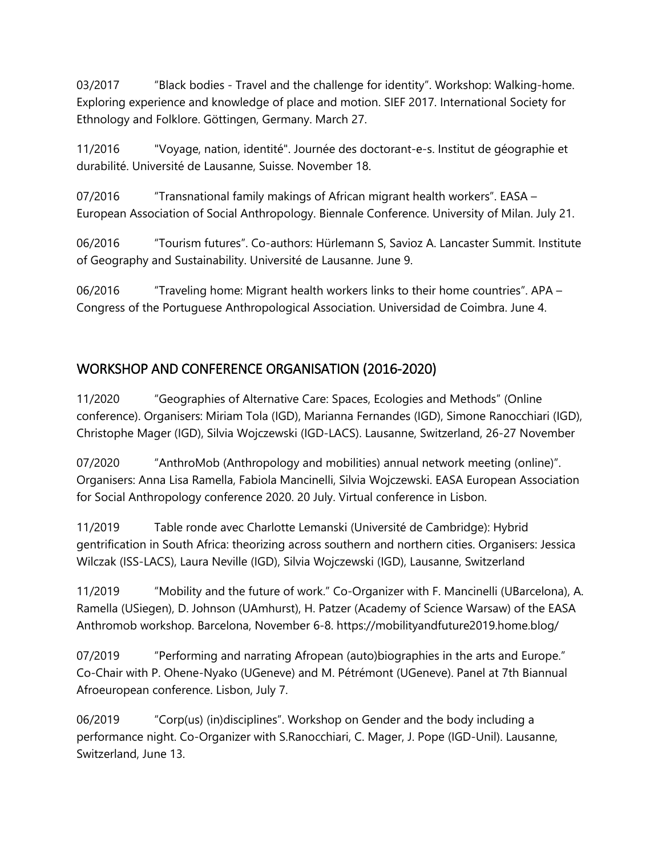03/2017 "Black bodies - Travel and the challenge for identity". Workshop: Walking-home. Exploring experience and knowledge of place and motion. SIEF 2017. International Society for Ethnology and Folklore. Göttingen, Germany. March 27.

11/2016 "Voyage, nation, identité". Journée des doctorant-e-s. Institut de géographie et durabilité. Université de Lausanne, Suisse. November 18.

07/2016 "Transnational family makings of African migrant health workers". EASA – European Association of Social Anthropology. Biennale Conference. University of Milan. July 21.

06/2016 "Tourism futures". Co-authors: Hürlemann S, Savioz A. Lancaster Summit. Institute of Geography and Sustainability. Université de Lausanne. June 9.

06/2016 "Traveling home: Migrant health workers links to their home countries". APA – Congress of the Portuguese Anthropological Association. Universidad de Coimbra. June 4.

# WORKSHOP AND CONFERENCE ORGANISATION (2016-2020)

11/2020 "Geographies of Alternative Care: Spaces, Ecologies and Methods" (Online conference). Organisers: Miriam Tola (IGD), Marianna Fernandes (IGD), Simone Ranocchiari (IGD), Christophe Mager (IGD), Silvia Wojczewski (IGD-LACS). Lausanne, Switzerland, 26-27 November

07/2020 "AnthroMob (Anthropology and mobilities) annual network meeting (online)". Organisers: Anna Lisa Ramella, Fabiola Mancinelli, Silvia Wojczewski. EASA European Association for Social Anthropology conference 2020. 20 July. Virtual conference in Lisbon.

11/2019 Table ronde avec Charlotte Lemanski (Université de Cambridge): Hybrid gentrification in South Africa: theorizing across southern and northern cities. Organisers: Jessica Wilczak (ISS-LACS), Laura Neville (IGD), Silvia Wojczewski (IGD), Lausanne, Switzerland

11/2019 "Mobility and the future of work." Co-Organizer with F. Mancinelli (UBarcelona), A. Ramella (USiegen), D. Johnson (UAmhurst), H. Patzer (Academy of Science Warsaw) of the EASA Anthromob workshop. Barcelona, November 6-8. https://mobilityandfuture2019.home.blog/

07/2019 "Performing and narrating Afropean (auto)biographies in the arts and Europe." Co-Chair with P. Ohene-Nyako (UGeneve) and M. Pétrémont (UGeneve). Panel at 7th Biannual Afroeuropean conference. Lisbon, July 7.

06/2019 "Corp(us) (in)disciplines". Workshop on Gender and the body including a performance night. Co-Organizer with S.Ranocchiari, C. Mager, J. Pope (IGD-Unil). Lausanne, Switzerland, June 13.